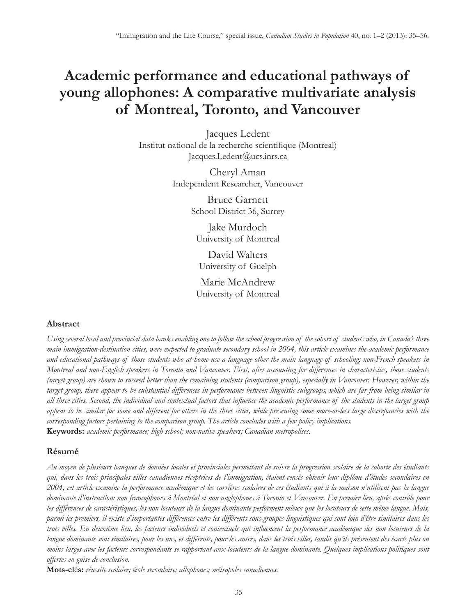# **Academic performance and educational pathways of young allophones: A comparative multivariate analysis of Montreal, Toronto, and Vancouver**

Jacques Ledent Institut national de la recherche scientifique (Montreal) [Jacques.Ledent@ucs.inrs.ca](mailto:Jacques.Ledent@ucs.inrs.ca)

> Cheryl Aman Independent Researcher, Vancouver

> > Bruce Garnett School District 36, Surrey

Jake Murdoch University of Montreal

David Walters University of Guelph

Marie McAndrew University of Montreal

# **Abstract**

*Using several local and provincial data banks enabling one to follow the school progression of the cohort of students who, in Canada's three main immigration-destination cities, were expected to graduate secondary school in 2004, this article examines the academic performance and educational pathways of those students who at home use a language other the main language of schooling: non-French speakers in Montreal and non-English speakers in Toronto and Vancouver. First, after accounting for differences in characteristics, those students (target group) are shown to succeed better than the remaining students (comparison group), especially in Vancouver. However, within the target group, there appear to be substantial differences in performance between linguistic subgroups, which are far from being similar in all three cities. Second, the individual and contextual factors that influence the academic performance of the students in the target group appear to be similar for some and different for others in the three cities, while presenting some more-or-less large discrepancies with the corresponding factors pertaining to the comparison group. The article concludes with a few policy implications.* **Keywords:** *academic performance; high school; non-native speakers; Canadian metropolises.*

# **Résumé**

*Au moyen de plusieurs banques de données locales et provinciales permettant de suivre la progression scolaire de la cohorte des étudiants qui, dans les trois principales villes canadiennes réceptrices de l'immigration, étaient censés obtenir leur diplôme d'études secondaires en 2004, cet article examine la performance académique et les carrières scolaires de ces étudiants qui à la maison n'utilisent pas la langue dominante d'instruction: non francophones à Montréal et non anglophones à Toronto et Vancouver. En premier lieu, après contrôle pour les différences de caractéristiques, les non locuteurs de la langue dominante performent mieux que les locuteurs de cette même langue. Mais, parmi les premiers, il existe d'importantes différences entre les différents sous-groupes linguistiques qui sont loin d'être similaires dans les trois villes. En deuxième lieu, les facteurs individuels et contextuels qui influencent la performance académique des non locuteurs de la langue dominante sont similaires, pour les uns, et différents, pour les autres, dans les trois villes, tandis qu'ils présentent des écarts plus ou moins larges avec les facteurs correspondants se rapportant aux locuteurs de la langue dominante. Quelques implications politiques sont offertes en guise de conclusion.*

**Mots-cl**é**s:** *réussite scolaire; école secondaire; allophones; métropoles canadiennes.*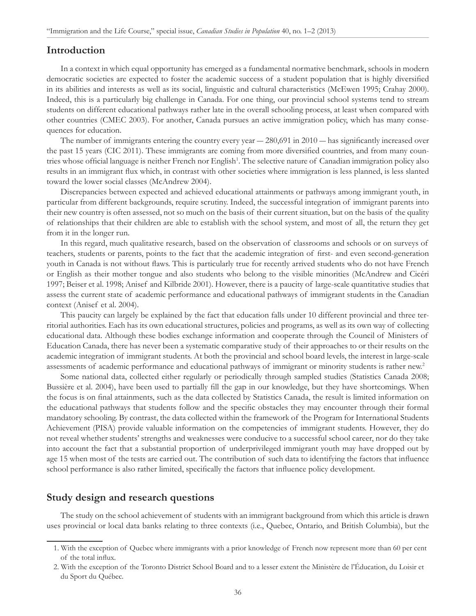## **Introduction**

In a context in which equal opportunity has emerged as a fundamental normative benchmark, schools in modern democratic societies are expected to foster the academic success of a student population that is highly diversified in its abilities and interests as well as its social, linguistic and cultural characteristics (McEwen 1995; Crahay 2000). Indeed, this is a particularly big challenge in Canada. For one thing, our provincial school systems tend to stream students on different educational pathways rather late in the overall schooling process, at least when compared with other countries (CMEC 2003). For another, Canada pursues an active immigration policy, which has many consequences for education.

The number of immigrants entering the country every year — 280,691 in 2010 — has significantly increased over the past 15 years (CIC 2011). These immigrants are coming from more diversified countries, and from many countries whose official language is neither French nor English<sup>1</sup>. The selective nature of Canadian immigration policy also results in an immigrant flux which, in contrast with other societies where immigration is less planned, is less slanted toward the lower social classes (McAndrew 2004).

Discrepancies between expected and achieved educational attainments or pathways among immigrant youth, in particular from different backgrounds, require scrutiny. Indeed, the successful integration of immigrant parents into their new country is often assessed, not so much on the basis of their current situation, but on the basis of the quality of relationships that their children are able to establish with the school system, and most of all, the return they get from it in the longer run.

In this regard, much qualitative research, based on the observation of classrooms and schools or on surveys of teachers, students or parents, points to the fact that the academic integration of first- and even second-generation youth in Canada is not without flaws. This is particularly true for recently arrived students who do not have French or English as their mother tongue and also students who belong to the visible minorities (McAndrew and Cicéri 1997; Beiser et al. 1998; Anisef and Kilbride 2001). However, there is a paucity of large-scale quantitative studies that assess the current state of academic performance and educational pathways of immigrant students in the Canadian context (Anisef et al. 2004).

This paucity can largely be explained by the fact that education falls under 10 different provincial and three territorial authorities. Each has its own educational structures, policies and programs, as well as its own way of collecting educational data. Although these bodies exchange information and cooperate through the Council of Ministers of Education Canada, there has never been a systematic comparative study of their approaches to or their results on the academic integration of immigrant students. At both the provincial and school board levels, the interest in large-scale assessments of academic performance and educational pathways of immigrant or minority students is rather new.<sup>2</sup>

Some national data, collected either regularly or periodically through sampled studies (Statistics Canada 2008; Bussière et al. 2004), have been used to partially fill the gap in our knowledge, but they have shortcomings. When the focus is on final attainments, such as the data collected by Statistics Canada, the result is limited information on the educational pathways that students follow and the specific obstacles they may encounter through their formal mandatory schooling. By contrast, the data collected within the framework of the Program for International Students Achievement (PISA) provide valuable information on the competencies of immigrant students. However, they do not reveal whether students' strengths and weaknesses were conducive to a successful school career, nor do they take into account the fact that a substantial proportion of underprivileged immigrant youth may have dropped out by age 15 when most of the tests are carried out. The contribution of such data to identifying the factors that influence school performance is also rather limited, specifically the factors that influence policy development.

### **Study design and research questions**

The study on the school achievement of students with an immigrant background from which this article is drawn uses provincial or local data banks relating to three contexts (i.e., Quebec, Ontario, and British Columbia), but the

<sup>1.</sup> With the exception of Quebec where immigrants with a prior knowledge of French now represent more than 60 per cent of the total influx.

<sup>2.</sup> With the exception of the Toronto District School Board and to a lesser extent the Ministère de l'Éducation, du Loisir et du Sport du Québec.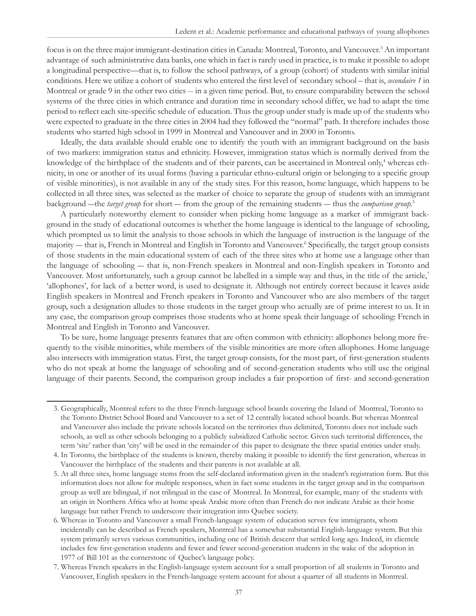focus is on the three major immigrant-destination cities in Canada: Montreal, Toronto, and Vancouver.<sup>3</sup> An important advantage of such administrative data banks, one which in fact is rarely used in practice, is to make it possible to adopt a longitudinal perspective—that is, to follow the school pathways, of a group (cohort) of students with similar initial conditions. Here we utilize a cohort of students who entered the first level of secondary school – that is, *secondaire 1* in Montreal or grade 9 in the other two cities -- in a given time period. But, to ensure comparability between the school systems of the three cities in which entrance and duration time in secondary school differ, we had to adapt the time period to reflect each site-specific schedule of education. Thus the group under study is made up of the students who were expected to graduate in the three cities in 2004 had they followed the "normal" path. It therefore includes those students who started high school in 1999 in Montreal and Vancouver and in 2000 in Toronto.

Ideally, the data available should enable one to identify the youth with an immigrant background on the basis of two markers: immigration status and ethnicity. However, immigration status which is normally derived from the knowledge of the birthplace of the students and of their parents, can be ascertained in Montreal only,<sup>4</sup> whereas ethnicity, in one or another of its usual forms (having a particular ethno-cultural origin or belonging to a specific group of visible minorities), is not available in any of the study sites. For this reason, home language, which happens to be collected in all three sites, was selected as the marker of choice to separate the group of students with an immigrant background ―the *target group* for short ― from the group of the remaining students ― thus the *comparison group.*<sup>5</sup>

A particularly noteworthy element to consider when picking home language as a marker of immigrant background in the study of educational outcomes is whether the home language is identical to the language of schooling, which prompted us to limit the analysis to those schools in which the language of instruction is the language of the majority — that is, French in Montreal and English in Toronto and Vancouver.<sup>6</sup> Specifically, the target group consists of those students in the main educational system of each of the three sites who at home use a language other than the language of schooling ― that is, non-French speakers in Montreal and non-English speakers in Toronto and Vancouver. Most unfortunately, such a group cannot be labelled in a simple way and thus, in the title of the article,<sup>7</sup> 'allophones', for lack of a better word, is used to designate it. Although not entirely correct because it leaves aside English speakers in Montreal and French speakers in Toronto and Vancouver who are also members of the target group, such a designation alludes to those students in the target group who actually are of prime interest to us. It in any case, the comparison group comprises those students who at home speak their language of schooling: French in Montreal and English in Toronto and Vancouver.

To be sure, home language presents features that are often common with ethnicity: allophones belong more frequently to the visible minorities, while members of the visible minorities are more often allophones. Home language also intersects with immigration status. First, the target group consists, for the most part, of first-generation students who do not speak at home the language of schooling and of second-generation students who still use the original language of their parents. Second, the comparison group includes a fair proportion of first- and second-generation

<sup>3.</sup> Geographically, Montreal refers to the three French-language school boards covering the Island of Montreal, Toronto to the Toronto District School Board and Vancouver to a set of 12 centrally located school boards. But whereas Montreal and Vancouver also include the private schools located on the territories thus delimited, Toronto does not include such schools, as well as other schools belonging to a publicly subsidized Catholic sector. Given such territorial differences, the term 'site' rather than 'city' will be used in the remainder of this paper to designate the three spatial entities under study.

<sup>4.</sup> In Toronto, the birthplace of the students is known, thereby making it possible to identify the first generation, whereas in Vancouver the birthplace of the students and their parents is not available at all.

<sup>5.</sup> At all three sites, home language stems from the self-declared information given in the student's registration form. But this information does not allow for multiple responses, when in fact some students in the target group and in the comparison group as well are bilingual, if not trilingual in the case of Montreal. In Montreal, for example, many of the students with an origin in Northern Africa who at home speak Arabic more often than French do not indicate Arabic as their home language but rather French to underscore their integration into Quebec society.

<sup>6.</sup> Whereas in Toronto and Vancouver a small French-language system of education serves few immigrants, whom incidentally can be described as French speakers, Montreal has a somewhat substantial English-language system. But this system primarily serves various communities, including one of British descent that settled long ago. Indeed, its clientele includes few first-generation students and fewer and fewer second-generation students in the wake of the adoption in 1977 of Bill 101 as the cornerstone of Quebec's language policy.

<sup>7.</sup> Whereas French speakers in the English-language system account for a small proportion of all students in Toronto and Vancouver, English speakers in the French-language system account for about a quarter of all students in Montreal.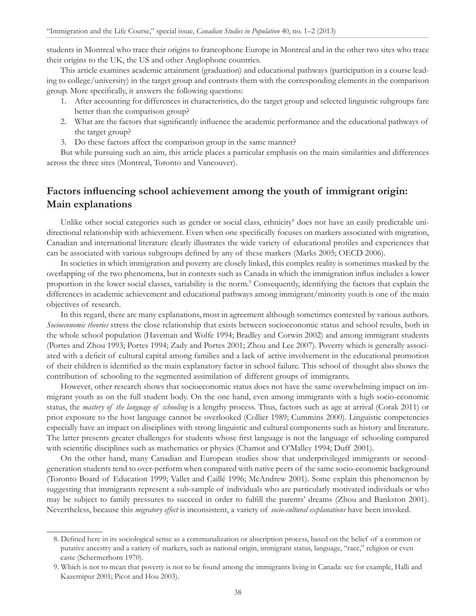students in Montreal who trace their origins to francophone Europe in Montreal and in the other two sites who trace their origins to the UK, the US and other Anglophone countries.

This article examines academic attainment (graduation) and educational pathways (participation in a course leading to college/university) in the target group and contrasts them with the corresponding elements in the comparison group. More specifically, it answers the following questions:

- 1. After accounting for differences in characteristics, do the target group and selected linguistic subgroups fare better than the comparison group?
- 2. What are the factors that significantly influence the academic performance and the educational pathways of the target group?
- 3. Do these factors affect the comparison group in the same manner?

But while pursuing such an aim, this article places a particular emphasis on the main similarities and differences across the three sites (Montreal, Toronto and Vancouver).

# **Factors influencing school achievement among the youth of immigrant origin: Main explanations**

Unlike other social categories such as gender or social class, ethnicity<sup>8</sup> does not have an easily predictable unidirectional relationship with achievement. Even when one specifically focuses on markers associated with migration, Canadian and international literature clearly illustrates the wide variety of educational profiles and experiences that can be associated with various subgroups defined by any of these markers (Marks 2005; OECD 2006).

In societies in which immigration and poverty are closely linked, this complex reality is sometimes masked by the overlapping of the two phenomena, but in contexts such as Canada in which the immigration influx includes a lower proportion in the lower social classes, variability is the norm.<sup>9</sup> Consequently, identifying the factors that explain the differences in academic achievement and educational pathways among immigrant/minority youth is one of the main objectives of research.

In this regard, there are many explanations, most in agreement although sometimes contested by various authors. *Socioeconomic theories* stress the close relationship that exists between socioeconomic status and school results, both in the whole school population (Haveman and Wolfe 1994; Bradley and Corwin 2002) and among immigrant students (Portes and Zhou 1993; Portes 1994; Zady and Portes 2001; Zhou and Lee 2007). Poverty which is generally associated with a deficit of cultural capital among families and a lack of active involvement in the educational promotion of their children is identified as the main explanatory factor in school failure. This school of thought also shows the contribution of schooling to the segmented assimilation of different groups of immigrants.

However, other research shows that socioeconomic status does not have the same overwhelming impact on immigrant youth as on the full student body. On the one hand, even among immigrants with a high socio-economic status, the *mastery of the language of schooling* is a lengthy process. Thus, factors such as age at arrival (Corak 2011) or prior exposure to the host language cannot be overlooked (Collier 1989; Cummins 2000). Linguistic competencies especially have an impact on disciplines with strong linguistic and cultural components such as history and literature. The latter presents greater challenges for students whose first language is not the language of schooling compared with scientific disciplines such as mathematics or physics (Chamot and O'Malley 1994; Duff 2001).

On the other hand, many Canadian and European studies show that underprivileged immigrants or secondgeneration students tend to over-perform when compared with native peers of the same socio-economic background (Toronto Board of Education 1999; Vallet and Caillé 1996; McAndrew 2001). Some explain this phenomenon by suggesting that immigrants represent a sub-sample of individuals who are particularly motivated individuals or who may be subject to family pressures to succeed in order to fulfill the parents' dreams (Zhou and Bankston 2001). Nevertheless, because this *migratory effect* is inconsistent, a variety of *socio-cultural explanations* have been invoked.

<sup>8.</sup> Defined here in its sociological sense as a communalization or abscription process, based on the belief of a common or putative ancestry and a variety of markers, such as national origin, immigrant status, language, "race," religion or even caste (Schermerhorn 1970).

<sup>9.</sup> Which is not to mean that poverty is not to be found among the immigrants living in Canada: see for example, Halli and Kazemipur 2001; Picot and Hou 2003).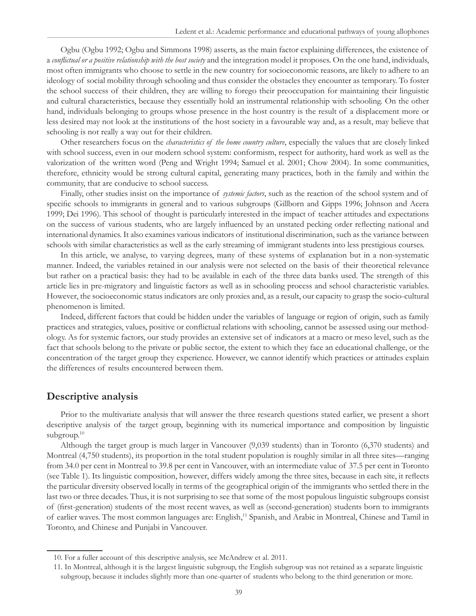Ogbu (Ogbu 1992; Ogbu and Simmons 1998) asserts, as the main factor explaining differences, the existence of a *conflictual or a positive relationship with the host society* and the integration model it proposes. On the one hand, individuals, most often immigrants who choose to settle in the new country for socioeconomic reasons, are likely to adhere to an ideology of social mobility through schooling and thus consider the obstacles they encounter as temporary. To foster the school success of their children, they are willing to forego their preoccupation for maintaining their linguistic and cultural characteristics, because they essentially hold an instrumental relationship with schooling. On the other hand, individuals belonging to groups whose presence in the host country is the result of a displacement more or less desired may not look at the institutions of the host society in a favourable way and, as a result, may believe that schooling is not really a way out for their children.

Other researchers focus on the *characteristics of the home country culture*, especially the values that are closely linked with school success, even in our modern school system: conformism, respect for authority, hard work as well as the valorization of the written word (Peng and Wright 1994; Samuel et al. 2001; Chow 2004). In some communities, therefore, ethnicity would be strong cultural capital, generating many practices, both in the family and within the community, that are conducive to school success.

Finally, other studies insist on the importance of *systemic factors*, such as the reaction of the school system and of specific schools to immigrants in general and to various subgroups (Gillborn and Gipps 1996; Johnson and Acera 1999; Dei 1996). This school of thought is particularly interested in the impact of teacher attitudes and expectations on the success of various students, who are largely influenced by an unstated pecking order reflecting national and international dynamics. It also examines various indicators of institutional discrimination, such as the variance between schools with similar characteristics as well as the early streaming of immigrant students into less prestigious courses.

In this article, we analyse, to varying degrees, many of these systems of explanation but in a non-systematic manner. Indeed, the variables retained in our analysis were not selected on the basis of their theoretical relevance but rather on a practical basis: they had to be available in each of the three data banks used. The strength of this article lies in pre-migratory and linguistic factors as well as in schooling process and school characteristic variables. However, the socioeconomic status indicators are only proxies and, as a result, our capacity to grasp the socio-cultural phenomenon is limited.

Indeed, different factors that could be hidden under the variables of language or region of origin, such as family practices and strategies, values, positive or conflictual relations with schooling, cannot be assessed using our methodology. As for systemic factors, our study provides an extensive set of indicators at a macro or meso level, such as the fact that schools belong to the private or public sector, the extent to which they face an educational challenge, or the concentration of the target group they experience. However, we cannot identify which practices or attitudes explain the differences of results encountered between them.

## **Descriptive analysis**

Prior to the multivariate analysis that will answer the three research questions stated earlier, we present a short descriptive analysis of the target group, beginning with its numerical importance and composition by linguistic subgroup.<sup>10</sup>

Although the target group is much larger in Vancouver (9,039 students) than in Toronto (6,370 students) and Montreal (4,750 students), its proportion in the total student population is roughly similar in all three sites—ranging from 34.0 per cent in Montreal to 39.8 per cent in Vancouver, with an intermediate value of 37.5 per cent in Toronto (see Table 1). Its linguistic composition, however, differs widely among the three sites, because in each site, it reflects the particular diversity observed locally in terms of the geographical origin of the immigrants who settled there in the last two or three decades. Thus, it is not surprising to see that some of the most populous linguistic subgroups consist of (first-generation) students of the most recent waves, as well as (second-generation) students born to immigrants of earlier waves. The most common languages are: English,<sup>11</sup> Spanish, and Arabic in Montreal, Chinese and Tamil in Toronto, and Chinese and Punjabi in Vancouver.

<sup>10.</sup> For a fuller account of this descriptive analysis, see McAndrew et al. 2011.

<sup>11.</sup> In Montreal, although it is the largest linguistic subgroup, the English subgroup was not retained as a separate linguistic subgroup, because it includes slightly more than one-quarter of students who belong to the third generation or more.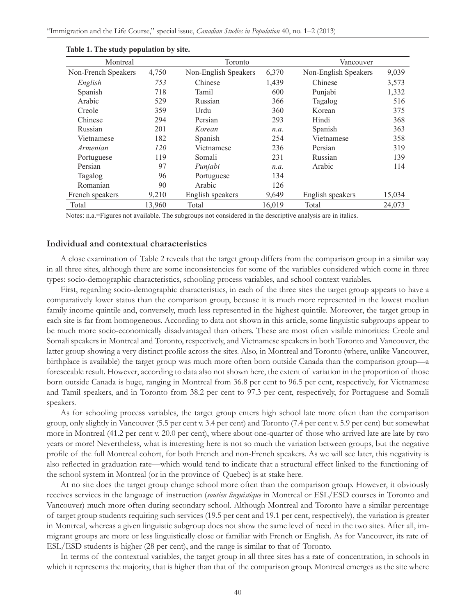| Montreal            |        | Toronto              |        | Vancouver            |        |  |
|---------------------|--------|----------------------|--------|----------------------|--------|--|
| Non-French Speakers | 4,750  | Non-English Speakers | 6,370  | Non-English Speakers | 9,039  |  |
| English             | 753    | Chinese              | 1,439  | Chinese              | 3,573  |  |
| Spanish             | 718    | Tamil                | 600    | Punjabi              | 1,332  |  |
| Arabic              | 529    | Russian              | 366    | Tagalog              | 516    |  |
| Creole              | 359    | Urdu                 | 360    | Korean               | 375    |  |
| Chinese             | 294    | Persian              | 293    | Hindi                | 368    |  |
| Russian             | 201    | Korean               | n.a.   | Spanish              | 363    |  |
| Vietnamese          | 182    | Spanish              | 254    | Vietnamese           | 358    |  |
| Armenian            | 120    | Vietnamese           | 236    | Persian              | 319    |  |
| Portuguese          | 119    | Somali               | 231    | Russian              | 139    |  |
| Persian             | 97     | Punjabi              | n.a.   | Arabic               | 114    |  |
| Tagalog             | 96     | Portuguese           | 134    |                      |        |  |
| Romanian            | 90     | Arabic               | 126    |                      |        |  |
| French speakers     | 9,210  | English speakers     | 9,649  | English speakers     | 15,034 |  |
| Total               | 13,960 | Total                | 16,019 | Total                | 24,073 |  |

#### **Table 1. The study population by site.**

Notes: n.a.=Figures not available. The subgroups not considered in the descriptive analysis are in italics.

#### **Individual and contextual characteristics**

A close examination of Table 2 reveals that the target group differs from the comparison group in a similar way in all three sites, although there are some inconsistencies for some of the variables considered which come in three types: socio-demographic characteristics, schooling process variables, and school context variables.

First, regarding socio-demographic characteristics, in each of the three sites the target group appears to have a comparatively lower status than the comparison group, because it is much more represented in the lowest median family income quintile and, conversely, much less represented in the highest quintile. Moreover, the target group in each site is far from homogeneous. According to data not shown in this article, some linguistic subgroups appear to be much more socio-economically disadvantaged than others. These are most often visible minorities: Creole and Somali speakers in Montreal and Toronto, respectively, and Vietnamese speakers in both Toronto and Vancouver, the latter group showing a very distinct profile across the sites. Also, in Montreal and Toronto (where, unlike Vancouver, birthplace is available) the target group was much more often born outside Canada than the comparison group—a foreseeable result. However, according to data also not shown here, the extent of variation in the proportion of those born outside Canada is huge, ranging in Montreal from 36.8 per cent to 96.5 per cent, respectively, for Vietnamese and Tamil speakers, and in Toronto from 38.2 per cent to 97.3 per cent, respectively, for Portuguese and Somali speakers.

As for schooling process variables, the target group enters high school late more often than the comparison group, only slightly in Vancouver (5.5 per cent v. 3.4 per cent) and Toronto (7.4 per cent v. 5.9 per cent) but somewhat more in Montreal (41.2 per cent v. 20.0 per cent), where about one-quarter of those who arrived late are late by two years or more! Nevertheless, what is interesting here is not so much the variation between groups, but the negative profile of the full Montreal cohort, for both French and non-French speakers. As we will see later, this negativity is also reflected in graduation rate—which would tend to indicate that a structural effect linked to the functioning of the school system in Montreal (or in the province of Quebec) is at stake here.

At no site does the target group change school more often than the comparison group. However, it obviously receives services in the language of instruction (*soutien linguistique* in Montreal or ESL/ESD courses in Toronto and Vancouver) much more often during secondary school. Although Montreal and Toronto have a similar percentage of target group students requiring such services (19.5 per cent and 19.1 per cent, respectively), the variation is greater in Montreal, whereas a given linguistic subgroup does not show the same level of need in the two sites. After all, immigrant groups are more or less linguistically close or familiar with French or English. As for Vancouver, its rate of ESL/ESD students is higher (28 per cent), and the range is similar to that of Toronto.

In terms of the contextual variables, the target group in all three sites has a rate of concentration, in schools in which it represents the majority, that is higher than that of the comparison group. Montreal emerges as the site where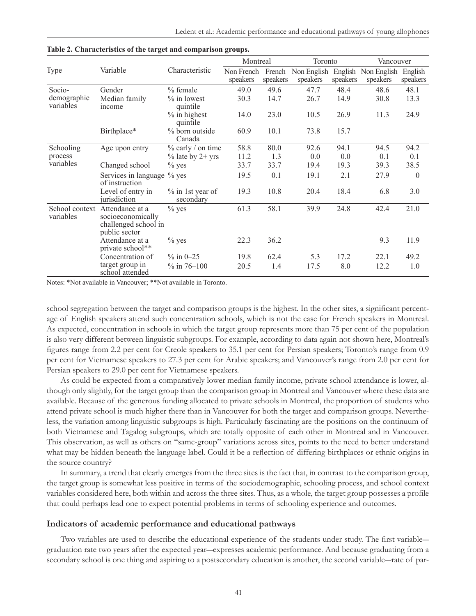|                             |                                                                               |                                  | Montreal               |                    | Toronto                 |          | Vancouver                       |                     |
|-----------------------------|-------------------------------------------------------------------------------|----------------------------------|------------------------|--------------------|-------------------------|----------|---------------------------------|---------------------|
| Type                        | Variable                                                                      | Characteristic                   | Non French<br>speakers | French<br>speakers | Non English<br>speakers | speakers | English Non English<br>speakers | English<br>speakers |
| Socio-                      | Gender                                                                        | % female                         | 49.0                   | 49.6               | 47.7                    | 48.4     | 48.6                            | 48.1                |
| demographic<br>variables    | Median family<br>income                                                       | % in lowest<br>quintile          | 30.3                   | 14.7               | 26.7                    | 14.9     | 30.8                            | 13.3                |
|                             |                                                                               | $%$ in highest<br>quintile       | 14.0                   | 23.0               | 10.5                    | 26.9     | 11.3                            | 24.9                |
|                             | Birthplace*                                                                   | % born outside<br>Canada         | 60.9                   | 10.1               | 73.8                    | 15.7     |                                 |                     |
| Schooling                   | Age upon entry                                                                | $%$ early / on time              | 58.8                   | 80.0               | 92.6                    | 94.1     | 94.5                            | 94.2                |
| process                     |                                                                               | $\%$ late by 2+ yrs              | 11.2                   | 1.3                | 0.0                     | 0.0      | 0.1                             | 0.1                 |
| variables                   | Changed school                                                                | $%$ yes                          | 33.7                   | 33.7               | 19.4                    | 19.3     | 39.3                            | 38.5                |
|                             | Services in language % yes<br>of instruction                                  |                                  | 19.5                   | 0.1                | 19.1                    | 2.1      | 27.9                            | $\theta$            |
|                             | Level of entry in<br>jurisdiction                                             | $\%$ in 1st year of<br>secondary | 19.3                   | 10.8               | 20.4                    | 18.4     | 6.8                             | 3.0                 |
| School context<br>variables | Attendance at a<br>socioeconomically<br>challenged school in<br>public sector | $%$ yes                          | 61.3                   | 58.1               | 39.9                    | 24.8     | 42.4                            | 21.0                |
|                             | Attendance at a<br>private school**                                           | $%$ yes                          | 22.3                   | 36.2               |                         |          | 9.3                             | 11.9                |
|                             | Concentration of                                                              | $\%$ in 0-25                     | 19.8                   | 62.4               | 5.3                     | 17.2     | 22.1                            | 49.2                |
|                             | target group in<br>school attended                                            | $% in 76-100$                    | 20.5                   | 1.4                | 17.5                    | 8.0      | 12.2                            | 1.0                 |

**Table 2. Characteristics of the target and comparison groups.**

Notes: \*Not available in Vancouver; \*\*Not available in Toronto.

school segregation between the target and comparison groups is the highest. In the other sites, a significant percentage of English speakers attend such concentration schools, which is not the case for French speakers in Montreal. As expected, concentration in schools in which the target group represents more than 75 per cent of the population is also very different between linguistic subgroups. For example, according to data again not shown here, Montreal's figures range from 2.2 per cent for Creole speakers to 35.1 per cent for Persian speakers; Toronto's range from 0.9 per cent for Vietnamese speakers to 27.3 per cent for Arabic speakers; and Vancouver's range from 2.0 per cent for Persian speakers to 29.0 per cent for Vietnamese speakers.

As could be expected from a comparatively lower median family income, private school attendance is lower, although only slightly, for the target group than the comparison group in Montreal and Vancouver where these data are available. Because of the generous funding allocated to private schools in Montreal, the proportion of students who attend private school is much higher there than in Vancouver for both the target and comparison groups. Nevertheless, the variation among linguistic subgroups is high. Particularly fascinating are the positions on the continuum of both Vietnamese and Tagalog subgroups, which are totally opposite of each other in Montreal and in Vancouver. This observation, as well as others on "same-group" variations across sites, points to the need to better understand what may be hidden beneath the language label. Could it be a reflection of differing birthplaces or ethnic origins in the source country?

In summary, a trend that clearly emerges from the three sites is the fact that, in contrast to the comparison group, the target group is somewhat less positive in terms of the sociodemographic, schooling process, and school context variables considered here, both within and across the three sites. Thus, as a whole, the target group possesses a profile that could perhaps lead one to expect potential problems in terms of schooling experience and outcomes.

#### **Indicators of academic performance and educational pathways**

Two variables are used to describe the educational experience of the students under study. The first variable― graduation rate two years after the expected year―expresses academic performance. And because graduating from a secondary school is one thing and aspiring to a postsecondary education is another, the second variable—rate of par-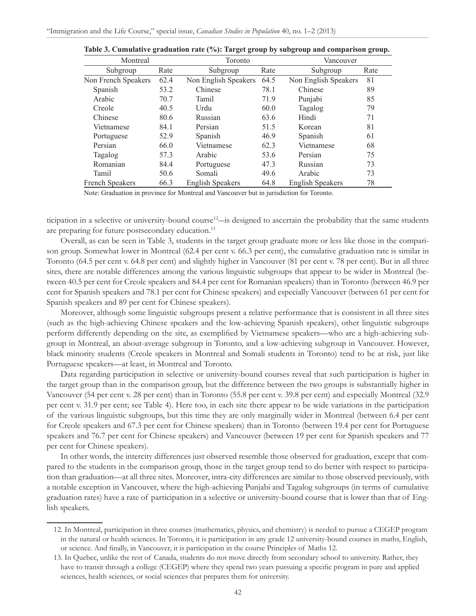| Montreal            |      | Toronto                 |      | Vancouver               |      |  |
|---------------------|------|-------------------------|------|-------------------------|------|--|
| Subgroup            | Rate | Subgroup                | Rate | Subgroup                | Rate |  |
| Non French Speakers | 62.4 | Non English Speakers    | 64.5 | Non English Speakers    | 81   |  |
| Spanish             | 53.2 | Chinese                 | 78.1 | Chinese                 | 89   |  |
| Arabic              | 70.7 | Tamil                   | 71.9 | Punjabi                 | 85   |  |
| Creole              | 40.5 | Urdu                    | 60.0 | Tagalog                 | 79   |  |
| Chinese             | 80.6 | Russian                 | 63.6 | Hindi                   | 71   |  |
| Vietnamese          | 84.1 | Persian                 | 51.5 | Korean                  | 81   |  |
| Portuguese          | 52.9 | Spanish                 | 46.9 | Spanish                 | 61   |  |
| Persian             | 66.0 | Vietnamese              | 62.3 | Vietnamese              | 68   |  |
| Tagalog             | 57.3 | Arabic                  | 53.6 | Persian                 | 75   |  |
| Romanian            | 84.4 | Portuguese              | 47.3 | Russian                 | 73   |  |
| Tamil               | 50.6 | Somali                  | 49.6 | Arabic                  | 73   |  |
| French Speakers     | 66.3 | <b>English Speakers</b> | 64.8 | <b>English Speakers</b> | 78   |  |

|  |  |  | Table 3. Cumulative graduation rate (%): Target group by subgroup and comparison group. |  |
|--|--|--|-----------------------------------------------------------------------------------------|--|
|  |  |  |                                                                                         |  |

Note: Graduation in province for Montreal and Vancouver but in jurisdiction for Toronto.

ticipation in a selective or university-bound course<sup>12</sup>—is designed to ascertain the probability that the same students are preparing for future postsecondary education.<sup>13</sup>

Overall, as can be seen in Table 3, students in the target group graduate more or less like those in the comparison group. Somewhat lower in Montreal (62.4 per cent v. 66.3 per cent), the cumulative graduation rate is similar in Toronto (64.5 per cent v. 64.8 per cent) and slightly higher in Vancouver (81 per cent v. 78 per cent). But in all three sites, there are notable differences among the various linguistic subgroups that appear to be wider in Montreal (between 40.5 per cent for Creole speakers and 84.4 per cent for Romanian speakers) than in Toronto (between 46.9 per cent for Spanish speakers and 78.1 per cent for Chinese speakers) and especially Vancouver (between 61 per cent for Spanish speakers and 89 per cent for Chinese speakers).

Moreover, although some linguistic subgroups present a relative performance that is consistent in all three sites (such as the high-achieving Chinese speakers and the low-achieving Spanish speakers), other linguistic subgroups perform differently depending on the site, as exemplified by Vietnamese speakers—who are a high-achieving subgroup in Montreal, an about-average subgroup in Toronto, and a low-achieving subgroup in Vancouver. However, black minority students (Creole speakers in Montreal and Somali students in Toronto) tend to be at risk, just like Portuguese speakers—at least, in Montreal and Toronto.

Data regarding participation in selective or university-bound courses reveal that such participation is higher in the target group than in the comparison group, but the difference between the two groups is substantially higher in Vancouver (54 per cent v. 28 per cent) than in Toronto (55.8 per cent v. 39.8 per cent) and especially Montreal (32.9 per cent v. 31.9 per cent; see Table 4). Here too, in each site there appear to be wide variations in the participation of the various linguistic subgroups, but this time they are only marginally wider in Montreal (between 6.4 per cent for Creole speakers and 67.3 per cent for Chinese speakers) than in Toronto (between 19.4 per cent for Portuguese speakers and 76.7 per cent for Chinese speakers) and Vancouver (between 19 per cent for Spanish speakers and 77 per cent for Chinese speakers).

In other words, the intercity differences just observed resemble those observed for graduation, except that compared to the students in the comparison group, those in the target group tend to do better with respect to participation than graduation—at all three sites. Moreover, intra-city differences are similar to those observed previously, with a notable exception in Vancouver, where the high-achieving Punjabi and Tagalog subgroups (in terms of cumulative graduation rates) have a rate of participation in a selective or university-bound course that is lower than that of English speakers.

<sup>12.</sup> In Montreal, participation in three courses (mathematics, physics, and chemistry) is needed to pursue a CEGEP program in the natural or health sciences. In Toronto, it is participation in any grade 12 university-bound courses in maths, English, or science. And finally, in Vancouver, it is participation in the course Principles of Maths 12.

<sup>13.</sup> In Quebec, unlike the rest of Canada, students do not move directly from secondary school to university. Rather, they have to transit through a college (CEGEP) where they spend two years pursuing a specific program in pure and applied sciences, health sciences, or social sciences that prepares them for university.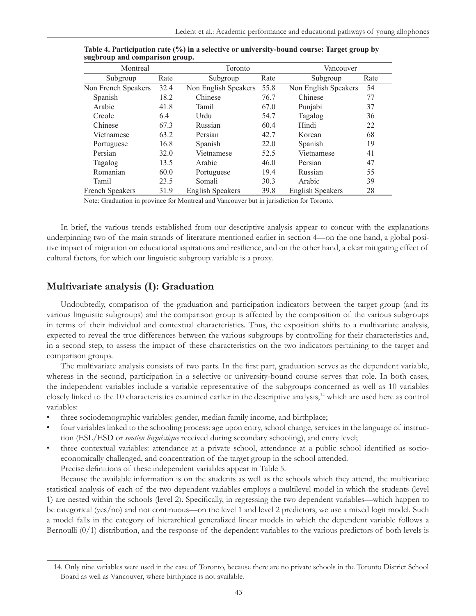| Montreal               |      | Toronto                 |      | Vancouver               |      |  |
|------------------------|------|-------------------------|------|-------------------------|------|--|
| Subgroup               | Rate | Subgroup                | Rate | Subgroup                | Rate |  |
| Non French Speakers    | 32.4 | Non English Speakers    | 55.8 | Non English Speakers    | 54   |  |
| Spanish                | 18.2 | Chinese                 | 76.7 | Chinese                 | 77   |  |
| Arabic                 | 41.8 | Tamil                   | 67.0 | Punjabi                 | 37   |  |
| Creole                 | 6.4  | Urdu                    | 54.7 | Tagalog                 | 36   |  |
| Chinese                | 67.3 | Russian                 | 60.4 | Hindi                   | 22   |  |
| Vietnamese             | 63.2 | Persian                 | 42.7 | Korean                  | 68   |  |
| Portuguese             | 16.8 | Spanish                 | 22.0 | Spanish                 | 19   |  |
| Persian                | 32.0 | Vietnamese              | 52.5 | Vietnamese              | 41   |  |
| Tagalog                | 13.5 | Arabic                  | 46.0 | Persian                 | 47   |  |
| Romanian               | 60.0 | Portuguese              | 19.4 | Russian                 | 55   |  |
| Tamil                  | 23.5 | Somali                  | 30.3 | Arabic                  | 39   |  |
| <b>French Speakers</b> | 31.9 | <b>English Speakers</b> | 39.8 | <b>English Speakers</b> | 28   |  |

**Table 4. Participation rate (%) in a selective or university-bound course: Target group by sugbroup and comparison group.**

Note: Graduation in province for Montreal and Vancouver but in jurisdiction for Toronto.

In brief, the various trends established from our descriptive analysis appear to concur with the explanations underpinning two of the main strands of literature mentioned earlier in section 4—on the one hand, a global positive impact of migration on educational aspirations and resilience, and on the other hand, a clear mitigating effect of cultural factors, for which our linguistic subgroup variable is a proxy.

## **Multivariate analysis (I): Graduation**

Undoubtedly, comparison of the graduation and participation indicators between the target group (and its various linguistic subgroups) and the comparison group is affected by the composition of the various subgroups in terms of their individual and contextual characteristics. Thus, the exposition shifts to a multivariate analysis, expected to reveal the true differences between the various subgroups by controlling for their characteristics and, in a second step, to assess the impact of these characteristics on the two indicators pertaining to the target and comparison groups.

The multivariate analysis consists of two parts. In the first part, graduation serves as the dependent variable, whereas in the second, participation in a selective or university-bound course serves that role. In both cases, the independent variables include a variable representative of the subgroups concerned as well as 10 variables closely linked to the 10 characteristics examined earlier in the descriptive analysis,<sup>14</sup> which are used here as control variables:

- three sociodemographic variables: gender, median family income, and birthplace;
- four variables linked to the schooling process: age upon entry, school change, services in the language of instruction (ESL/ESD or *soutien linguistique* received during secondary schooling), and entry level;
- three contextual variables: attendance at a private school, attendance at a public school identified as socioeconomically challenged, and concentration of the target group in the school attended. Precise definitions of these independent variables appear in Table 5.

Because the available information is on the students as well as the schools which they attend, the multivariate statistical analysis of each of the two dependent variables employs a multilevel model in which the students (level 1) are nested within the schools (level 2). Specifically, in regressing the two dependent variables—which happen to be categorical (yes/no) and not continuous—on the level 1 and level 2 predictors, we use a mixed logit model. Such a model falls in the category of hierarchical generalized linear models in which the dependent variable follows a Bernoulli (0/1) distribution, and the response of the dependent variables to the various predictors of both levels is

<sup>14.</sup> Only nine variables were used in the case of Toronto, because there are no private schools in the Toronto District School Board as well as Vancouver, where birthplace is not available.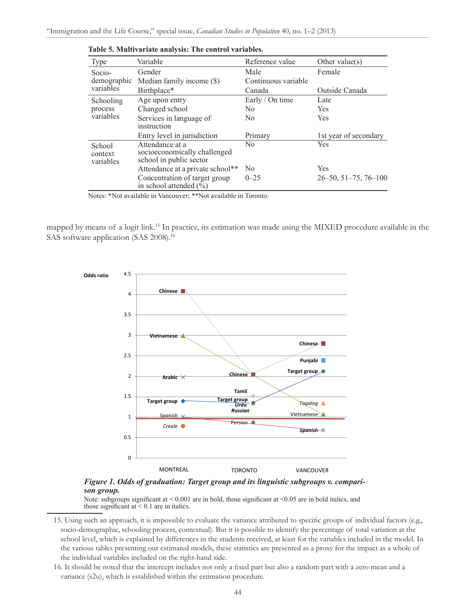| Type                 | Variable                                                    | Reference value     | Other value $(s)$            |  |
|----------------------|-------------------------------------------------------------|---------------------|------------------------------|--|
| Socio-               | Gender                                                      | Male                | Female                       |  |
| demographic          | Median family income (\$)                                   | Continuous variable |                              |  |
| variables            | Birthplace*                                                 | Canada              | Outside Canada               |  |
| Schooling            | Age upon entry                                              | Early / On time     | Late                         |  |
| process<br>variables | Changed school                                              | N0                  | Yes                          |  |
|                      | Services in language of                                     | N <sub>0</sub>      | Yes                          |  |
|                      | instruction                                                 |                     |                              |  |
|                      | Entry level in jurisdiction                                 | Primary             | 1st year of secondary        |  |
| School<br>context    | Attendance at a<br>socioeconomically challenged             | N <sub>0</sub>      | Yes                          |  |
| variables            | school in public sector                                     |                     |                              |  |
|                      | Attendance at a private school**                            | No                  | Yes                          |  |
|                      | Concentration of target group<br>in school attended $(\% )$ | $0 - 25$            | $26 - 50, 51 - 75, 76 - 100$ |  |

| Table 5. Multivariate analysis: The control variables. |  |  |
|--------------------------------------------------------|--|--|
|                                                        |  |  |

Notes: \*Not available in Vancouver; \*\*Not available in Toronto.

mapped by means of a logit link.<sup>15</sup> In practice, its estimation was made using the MIXED procedure available in the SAS software application (SAS 2008).<sup>16</sup>



#### *Figure 1. Odds of graduation: Target group and its linguistic subgroups v. comparison group.*  $\blacksquare$

Note: subgroups significant at < 0.001 are in bold, those significant at <0.05 are in bold italics, and those significant at  $\leq 0.1$  are in italics.

<sup>15.</sup> Using such an approach, it is impossible to evaluate the variance attributed to specific groups of individual factors (e.g., socio-demographic, schooling process, contextual). But it is possible to identify the percentage of total variation at the school level, which is explained by differences in the students received, at least for the variables included in the model. In the various tables presenting our estimated models, these statistics are presented as a proxy for the impact as a whole of the individual variables included on the right-hand side.

<sup>16.</sup> It should be noted that the intercept includes not only a fixed part but also a random part with a zero mean and a variance (s2u), which is established within the estimation procedure.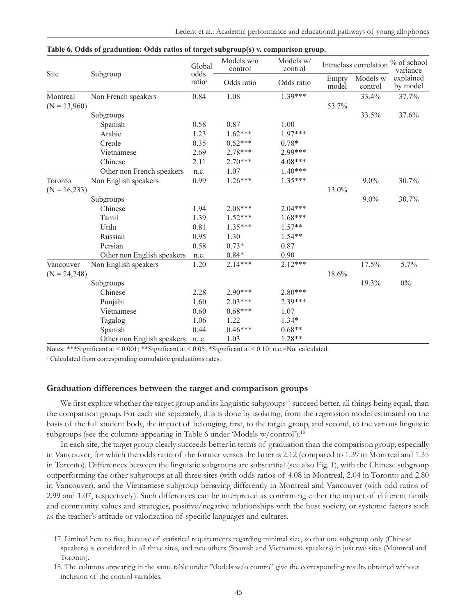|                |                            | Global                     | Models w/o<br>control | Models w/<br>control | Intraclass correlation |                     | % of school<br>variance |  |
|----------------|----------------------------|----------------------------|-----------------------|----------------------|------------------------|---------------------|-------------------------|--|
| Site           | Subgroup                   | odds<br>ratio <sup>a</sup> | Odds ratio            | Odds ratio           | Empty<br>model         | Models w<br>control | explained<br>by model   |  |
| Montreal       | Non French speakers        | 0.84                       | 1.08                  | $1.39***$            |                        | 33.4%               | 37.7%                   |  |
| $(N = 13,960)$ |                            |                            |                       |                      | 53.7%                  |                     |                         |  |
|                | Subgroups                  |                            |                       |                      |                        | 33.5%               | 37.6%                   |  |
|                | Spanish                    | 0.58                       | 0.87                  | 1.00                 |                        |                     |                         |  |
|                | Arabic                     | 1.23                       | $1.62***$             | $1.97***$            |                        |                     |                         |  |
|                | Creole                     | 0.35                       | $0.52***$             | $0.78*$              |                        |                     |                         |  |
|                | Vietnamese                 | 2.69                       | 2.78***               | 2.99***              |                        |                     |                         |  |
|                | Chinese                    | 2.11                       | $2.70***$             | 4.08***              |                        |                     |                         |  |
|                | Other non French speakers  | n.c.                       | 1.07                  | $1.40***$            |                        |                     |                         |  |
| Toronto        | Non English speakers       | 0.99                       | $1.26***$             | $1.35***$            |                        | $9.0\%$             | 30.7%                   |  |
| $(N = 16,233)$ |                            |                            |                       |                      | 13.0%                  |                     |                         |  |
|                | Subgroups                  |                            |                       |                      |                        | 9.0%                | 30.7%                   |  |
|                | Chinese                    | 1.94                       | $2.08***$             | $2.04***$            |                        |                     |                         |  |
|                | Tamil                      | 1.39                       | $1.52***$             | $1.68***$            |                        |                     |                         |  |
|                | Urdu                       | 0.81                       | $1.35***$             | $1.57**$             |                        |                     |                         |  |
|                | Russian                    | 0.95                       | 1.30                  | $1.54**$             |                        |                     |                         |  |
|                | Persian                    | 0.58                       | $0.73*$               | 0.87                 |                        |                     |                         |  |
|                | Other non English speakers | n.c.                       | $0.84*$               | 0.90                 |                        |                     |                         |  |
| Vancouver      | Non English speakers       | 1.20                       | $2.14***$             | $2.12***$            |                        | 17.5%               | 5.7%                    |  |
| $(N = 24,248)$ |                            |                            |                       |                      | 18.6%                  |                     |                         |  |
|                | Subgroups                  |                            |                       |                      |                        | 19.3%               | $0\%$                   |  |
|                | Chinese                    | 2.28                       | $2.90***$             | $2.80***$            |                        |                     |                         |  |
|                | Punjabi                    | 1.60                       | $2.03***$             | 2.39***              |                        |                     |                         |  |
|                | Vietnamese                 | 0.60                       | $0.68***$             | 1.07                 |                        |                     |                         |  |
|                | Tagalog                    | 1.06                       | 1.22                  | $1.34*$              |                        |                     |                         |  |
|                | Spanish                    | 0.44                       | $0.46***$             | $0.68**$             |                        |                     |                         |  |
|                | Other non English speakers | n. c.                      | 1.03                  | $1.28**$             |                        |                     |                         |  |

**Table 6. Odds of graduation: Odds ratios of target subgroup(s) v. comparison group.**

Notes: \*\*\*Significant at < 0.001; \*\*Significant at < 0.05; \*Significant at < 0.10; n.c.=Not calculated.

<sup>a</sup> Calculated from corresponding cumulative graduations rates.

#### **Graduation differences between the target and comparison groups**

We first explore whether the target group and its linguistic subgroups $17$  succeed better, all things being equal, than the comparison group. For each site separately, this is done by isolating, from the regression model estimated on the basis of the full student body, the impact of belonging, first, to the target group, and second, to the various linguistic subgroups (see the columns appearing in Table 6 under 'Models w/control').<sup>18</sup>

In each site, the target group clearly succeeds better in terms of graduation than the comparison group, especially in Vancouver, for which the odds ratio of the former versus the latter is 2.12 (compared to 1.39 in Montreal and 1.35 in Toronto). Differences between the linguistic subgroups are substantial (see also Fig. 1), with the Chinese subgroup outperforming the other subgroups at all three sites (with odds ratios of 4.08 in Montreal, 2.04 in Toronto and 2.80 in Vancouver), and the Vietnamese subgroup behaving differently in Montreal and Vancouver (with odd ratios of 2.99 and 1.07, respectively). Such differences can be interpreted as confirming either the impact of different family and community values and strategies, positive/negative relationships with the host society, or systemic factors such as the teacher's attitude or valorization of specific languages and cultures.

<sup>17.</sup> Limited here to five, because of statistical requirements regarding minimal size, so that one subgroup only (Chinese speakers) is considered in all three sites, and two others (Spanish and Vietnamese speakers) in just two sites (Montreal and Toronto).

<sup>18.</sup> The columns appearing in the same table under 'Models w/o control' give the corresponding results obtained without inclusion of the control variables.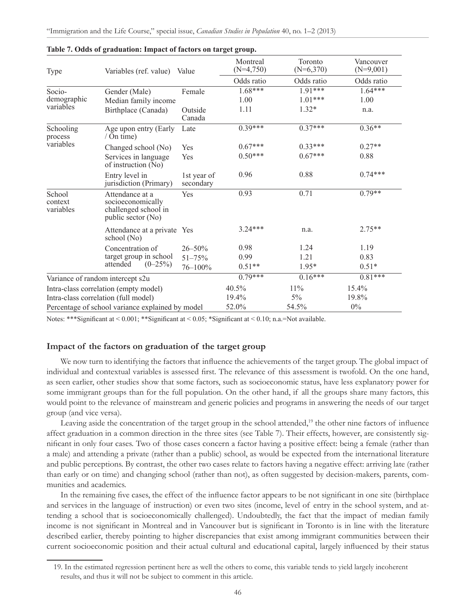| Type                              | Variables (ref. value)                                                             | Value                    | Montreal<br>$(N=4,750)$ | Toronto<br>$(N=6,370)$ | Vancouver<br>$(N=9,001)$ |
|-----------------------------------|------------------------------------------------------------------------------------|--------------------------|-------------------------|------------------------|--------------------------|
|                                   |                                                                                    |                          | Odds ratio              | Odds ratio             | Odds ratio               |
| Socio-                            | Gender (Male)                                                                      | Female                   | $1.68***$               | $1.91***$              | $1.64***$                |
| demographic                       | Median family income                                                               |                          | 1.00                    | $1.01***$              | 1.00                     |
| variables                         | Birthplace (Canada)                                                                | Outside<br>Canada        | 1.11                    | $1.32*$                | n.a.                     |
| Schooling<br>process<br>variables | Age upon entry (Early<br>/ On time)                                                | Late                     | $0.39***$               | $0.37***$              | $0.36**$                 |
|                                   | Changed school (No)                                                                | Yes                      | $0.67***$               | $0.33***$              | $0.27**$                 |
|                                   | Services in language<br>of instruction (No)                                        | Yes                      | $0.50***$               | $0.67***$              | 0.88                     |
|                                   | Entry level in<br>jurisdiction (Primary)                                           | 1st year of<br>secondary | 0.96                    | 0.88                   | $0.74***$                |
| School<br>context<br>variables    | Attendance at a<br>socioeconomically<br>challenged school in<br>public sector (No) | Yes                      | 0.93                    | 0.71                   | $0.79**$                 |
|                                   | Attendance at a private Yes<br>school (No)                                         |                          | $3.24***$               | n.a.                   | $2.75**$                 |
|                                   | Concentration of                                                                   | $26 - 50\%$              | 0.98                    | 1.24                   | 1.19                     |
|                                   | target group in school                                                             | $51 - 75%$               | 0.99                    | 1.21                   | 0.83                     |
|                                   | $(0-25\%)$<br>attended                                                             | 76-100%                  | $0.51**$                | 1.95*                  | $0.51*$                  |
|                                   | Variance of random intercept s2u                                                   |                          | $0.79***$               | $0.16***$              | $0.81***$                |
|                                   | Intra-class correlation (empty model)                                              |                          | 40.5%                   | 11%                    | 15.4%                    |
|                                   | Intra-class correlation (full model)                                               |                          | 19.4%                   | 5%                     | 19.8%                    |
|                                   | Percentage of school variance explained by model                                   |                          | 52.0%                   | 54.5%                  | 0%                       |

|  |  |  | Table 7. Odds of graduation: Impact of factors on target group. |  |  |  |  |  |  |  |
|--|--|--|-----------------------------------------------------------------|--|--|--|--|--|--|--|
|--|--|--|-----------------------------------------------------------------|--|--|--|--|--|--|--|

Notes: \*\*\*Significant at < 0.001; \*\*Significant at < 0.05; \*Significant at < 0.10; n.a.=Not available.

#### **Impact of the factors on graduation of the target group**

We now turn to identifying the factors that influence the achievements of the target group. The global impact of individual and contextual variables is assessed first. The relevance of this assessment is twofold. On the one hand, as seen earlier, other studies show that some factors, such as socioeconomic status, have less explanatory power for some immigrant groups than for the full population. On the other hand, if all the groups share many factors, this would point to the relevance of mainstream and generic policies and programs in answering the needs of our target group (and vice versa).

Leaving aside the concentration of the target group in the school attended,<sup>19</sup> the other nine factors of influence affect graduation in a common direction in the three sites (see Table 7). Their effects, however, are consistently significant in only four cases. Two of those cases concern a factor having a positive effect: being a female (rather than a male) and attending a private (rather than a public) school, as would be expected from the international literature and public perceptions. By contrast, the other two cases relate to factors having a negative effect: arriving late (rather than early or on time) and changing school (rather than not), as often suggested by decision-makers, parents, communities and academics.

In the remaining five cases, the effect of the influence factor appears to be not significant in one site (birthplace and services in the language of instruction) or even two sites (income, level of entry in the school system, and attending a school that is socioeconomically challenged). Undoubtedly, the fact that the impact of median family income is not significant in Montreal and in Vancouver but is significant in Toronto is in line with the literature described earlier, thereby pointing to higher discrepancies that exist among immigrant communities between their current socioeconomic position and their actual cultural and educational capital, largely influenced by their status

<sup>19.</sup> In the estimated regression pertinent here as well the others to come, this variable tends to yield largely incoherent results, and thus it will not be subject to comment in this article.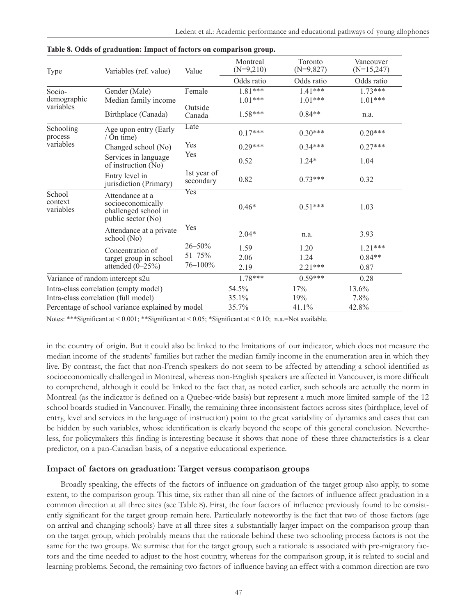| Type                           | Variables (ref. value)                                                             | Value                    | Montreal<br>$(N=9,210)$ | Toronto<br>$(N=9,827)$ | Vancouver<br>$(N=15,247)$ |
|--------------------------------|------------------------------------------------------------------------------------|--------------------------|-------------------------|------------------------|---------------------------|
|                                |                                                                                    |                          | Odds ratio              | Odds ratio             | Odds ratio                |
| Socio-                         | Gender (Male)                                                                      | Female                   | $1.81***$               | $1.41***$              | $1.73***$                 |
| demographic                    | Median family income                                                               |                          | $1.01***$               | $1.01***$              | $1.01***$                 |
| variables                      | Birthplace (Canada)                                                                | Outside<br>Canada        | $1.58***$               | $0.84**$               | n.a.                      |
| Schooling<br>process           | Age upon entry (Early<br>/ On time)                                                | Late                     | $0.17***$               | $0.30***$              | $0.20***$                 |
| variables                      | Changed school (No)                                                                | Yes                      | $0.29***$               | $0.34***$              | $0.27***$                 |
|                                | Services in language<br>of instruction (No)                                        | Yes                      | 0.52                    | $1.24*$                | 1.04                      |
|                                | Entry level in<br>jurisdiction (Primary)                                           | 1st year of<br>secondary | 0.82                    | $0.73***$              | 0.32                      |
| School<br>context<br>variables | Attendance at a<br>socioeconomically<br>challenged school in<br>public sector (No) | <b>Yes</b>               | $0.46*$                 | $0.51***$              | 1.03                      |
|                                | Attendance at a private<br>school (No)                                             | Yes                      | $2.04*$                 | n.a.                   | 3.93                      |
|                                | Concentration of                                                                   | 26-50%                   | 1.59                    | 1.20                   | $1.21***$                 |
|                                | target group in school                                                             | $51 - 75%$               | 2.06                    | 1.24                   | $0.84**$                  |
|                                | attended $(0-25%)$                                                                 | 76-100%                  | 2.19                    | $2.21***$              | 0.87                      |
|                                | Variance of random intercept s2u                                                   |                          | $1.78***$               | $0.59***$              | 0.28                      |
|                                | Intra-class correlation (empty model)                                              |                          | 54.5%                   | 17%                    | 13.6%                     |
|                                | Intra-class correlation (full model)                                               |                          | 35.1%                   | 19%                    | 7.8%                      |
|                                | Percentage of school variance explained by model                                   |                          | 35.7%                   | 41.1%                  | 42.8%                     |

|  | Table 8. Odds of graduation: Impact of factors on comparison group. |  |  |
|--|---------------------------------------------------------------------|--|--|

Notes: \*\*\*Significant at < 0.001; \*\*Significant at < 0.05; \*Significant at < 0.10; n.a.=Not available.

in the country of origin. But it could also be linked to the limitations of our indicator, which does not measure the median income of the students' families but rather the median family income in the enumeration area in which they live. By contrast, the fact that non-French speakers do not seem to be affected by attending a school identified as socioeconomically challenged in Montreal, whereas non-English speakers are affected in Vancouver, is more difficult to comprehend, although it could be linked to the fact that, as noted earlier, such schools are actually the norm in Montreal (as the indicator is defined on a Quebec-wide basis) but represent a much more limited sample of the 12 school boards studied in Vancouver. Finally, the remaining three inconsistent factors across sites (birthplace, level of entry, level and services in the language of instruction) point to the great variability of dynamics and cases that can be hidden by such variables, whose identification is clearly beyond the scope of this general conclusion. Nevertheless, for policymakers this finding is interesting because it shows that none of these three characteristics is a clear predictor, on a pan-Canadian basis, of a negative educational experience.

#### **Impact of factors on graduation: Target versus comparison groups**

Broadly speaking, the effects of the factors of influence on graduation of the target group also apply, to some extent, to the comparison group. This time, six rather than all nine of the factors of influence affect graduation in a common direction at all three sites (see Table 8). First, the four factors of influence previously found to be consistently significant for the target group remain here. Particularly noteworthy is the fact that two of those factors (age on arrival and changing schools) have at all three sites a substantially larger impact on the comparison group than on the target group, which probably means that the rationale behind these two schooling process factors is not the same for the two groups. We surmise that for the target group, such a rationale is associated with pre-migratory factors and the time needed to adjust to the host country, whereas for the comparison group, it is related to social and learning problems. Second, the remaining two factors of influence having an effect with a common direction are two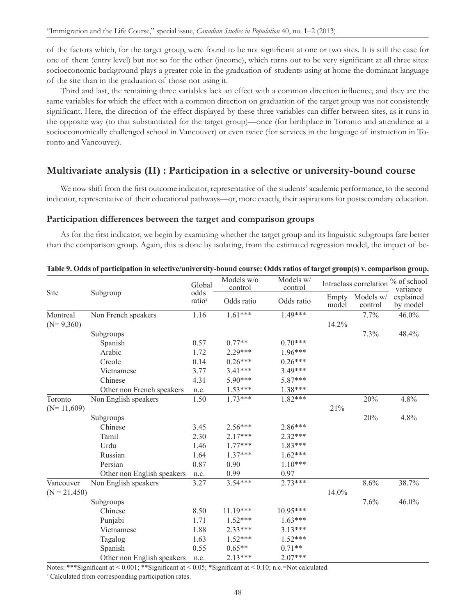of the factors which, for the target group, were found to be not significant at one or two sites. It is still the case for one of them (entry level) but not so for the other (income), which turns out to be very significant at all three sites: socioeconomic background plays a greater role in the graduation of students using at home the dominant language of the site than in the graduation of those not using it.

Third and last, the remaining three variables lack an effect with a common direction influence, and they are the same variables for which the effect with a common direction on graduation of the target group was not consistently significant. Here, the direction of the effect displayed by these three variables can differ between sites, as it runs in the opposite way (to that substantiated for the target group)—once (for birthplace in Toronto and attendance at a socioeconomically challenged school in Vancouver) or even twice (for services in the language of instruction in Toronto and Vancouver).

# **Multivariate analysis (II) : Participation in a selective or university-bound course**

We now shift from the first outcome indicator, representative of the students' academic performance, to the second indicator, representative of their educational pathways—or, more exactly, their aspirations for postsecondary education.

#### **Participation differences between the target and comparison groups**

As for the first indicator, we begin by examining whether the target group and its linguistic subgroups fare better than the comparison group. Again, this is done by isolating, from the estimated regression model, the impact of be-

|                |                            | Global                     | Models w/o<br>control | Models w/<br>control |                | Intraclass correlation | % of school<br>variance |
|----------------|----------------------------|----------------------------|-----------------------|----------------------|----------------|------------------------|-------------------------|
| Site           | Subgroup                   | odds<br>ratio <sup>a</sup> | Odds ratio            | Odds ratio           | Empty<br>model | Models w/<br>control   | explained<br>by model   |
| Montreal       | Non French speakers        | 1.16                       | $1.61***$             | $1.49***$            |                | 7.7%                   | 46.0%                   |
| $(N=9,360)$    |                            |                            |                       |                      | 14.2%          |                        |                         |
|                | Subgroups                  |                            |                       |                      |                | 7.3%                   | 48.4%                   |
|                | Spanish                    | 0.57                       | $0.77**$              | $0.70***$            |                |                        |                         |
|                | Arabic                     | 1.72                       | $2.29***$             | $1.96***$            |                |                        |                         |
|                | Creole                     | 0.14                       | $0.26***$             | $0.26***$            |                |                        |                         |
|                | Vietnamese                 | 3.77                       | $3.41***$             | 3.49***              |                |                        |                         |
|                | Chinese                    | 4.31                       | $5.90***$             | 5.87***              |                |                        |                         |
|                | Other non French speakers  | n.c.                       | $1.53***$             | $1.38***$            |                |                        |                         |
| Toronto        | Non English speakers       | 1.50                       | $1.73***$             | $1.82***$            |                | 20%                    | 4.8%                    |
| $(N=11,609)$   |                            |                            |                       |                      | 21%            |                        |                         |
|                | Subgroups                  |                            |                       |                      |                | 20%                    | 4.8%                    |
|                | Chinese                    | 3.45                       | $2.56***$             | $2.86***$            |                |                        |                         |
|                | Tamil                      | 2.30                       | $2.17***$             | $2.32***$            |                |                        |                         |
|                | Urdu                       | 1.46                       | $1.77***$             | 1.83***              |                |                        |                         |
|                | Russian                    | 1.64                       | $1.37***$             | $1.62***$            |                |                        |                         |
|                | Persian                    | 0.87                       | 0.90                  | $1.10***$            |                |                        |                         |
|                | Other non English speakers | n.c.                       | 0.99                  | 0.97                 |                |                        |                         |
| Vancouver      | Non English speakers       | 3.27                       | $3.54***$             | $2.73***$            |                | 8.6%                   | 38.7%                   |
| $(N = 21,450)$ |                            |                            |                       |                      | 14.0%          |                        |                         |
|                | Subgroups                  |                            |                       |                      |                | 7.6%                   | 46.0%                   |
|                | Chinese                    | 8.50                       | $11.19***$            | $10.95***$           |                |                        |                         |
|                | Punjabi                    | 1.71                       | $1.52***$             | $1.63***$            |                |                        |                         |
|                | Vietnamese                 | 1.88                       | $2.33***$             | $3.13***$            |                |                        |                         |
|                | Tagalog                    | 1.63                       | $1.52***$             | $1.52***$            |                |                        |                         |
|                | Spanish                    | 0.55                       | $0.65**$              | $0.71**$             |                |                        |                         |
|                | Other non English speakers | n.c.                       | $2.13***$             | $2.07***$            |                |                        |                         |

**Table 9. Odds of participation in selective/university-bound course: Odds ratios of target group(s) v. comparison group.**

Notes: \*\*\*Significant at < 0.001; \*\*Significant at < 0.05; \*Significant at < 0.10; n.c.=Not calculated.

<sup>a</sup> Calculated from corresponding participation rates.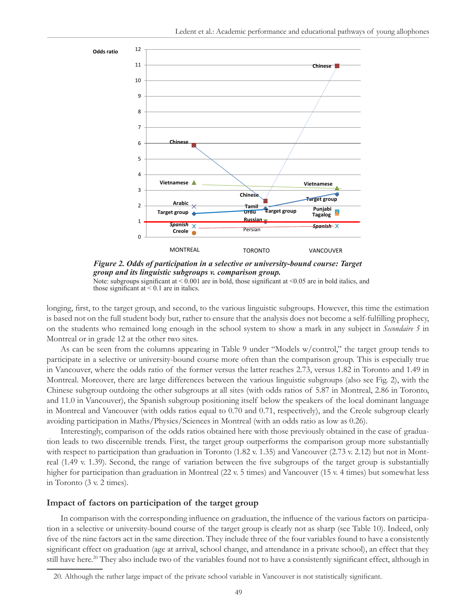

Figure 2. Odds of participation in a selective or university-bound course: Target *group and its linguistic subgroups v. comparison group.* 

Note: subgroups significant at  $\leq 0.001$  are in bold, those significant at  $\leq 0.05$  are in bold italics, and those significant at  $\leq 0.1$  are in italics.

longing, first, to the target group, and second, to the various linguistic subgroups. However, this time the estimation is based not on the full student body but, rather to ensure that the analysis does not become a self-fulfilling prophecy, on the students who remained long enough in the school system to show a mark in any subject in *Secondaire 5* in Montreal or in grade 12 at the other two sites.

As can be seen from the columns appearing in Table 9 under "Models w/control," the target group tends to participate in a selective or university-bound course more often than the comparison group. This is especially true in Vancouver, where the odds ratio of the former versus the latter reaches 2.73, versus 1.82 in Toronto and 1.49 in Montreal. Moreover, there are large differences between the various linguistic subgroups (also see Fig. 2), with the Chinese subgroup outdoing the other subgroups at all sites (with odds ratios of 5.87 in Montreal, 2.86 in Toronto, and 11.0 in Vancouver), the Spanish subgroup positioning itself below the speakers of the local dominant language in Montreal and Vancouver (with odds ratios equal to 0.70 and 0.71, respectively), and the Creole subgroup clearly avoiding participation in Maths/Physics/Sciences in Montreal (with an odds ratio as low as 0.26).

Interestingly, comparison of the odds ratios obtained here with those previously obtained in the case of graduation leads to two discernible trends. First, the target group outperforms the comparison group more substantially with respect to participation than graduation in Toronto (1.82 v. 1.35) and Vancouver (2.73 v. 2.12) but not in Montreal (1.49 v. 1.39). Second, the range of variation between the five subgroups of the target group is substantially higher for participation than graduation in Montreal (22 v. 5 times) and Vancouver (15 v. 4 times) but somewhat less in Toronto (3 v. 2 times).

#### **Impact of factors on participation of the target group**

In comparison with the corresponding influence on graduation, the influence of the various factors on participation in a selective or university-bound course of the target group is clearly not as sharp (see Table 10). Indeed, only five of the nine factors act in the same direction. They include three of the four variables found to have a consistently significant effect on graduation (age at arrival, school change, and attendance in a private school), an effect that they still have here.<sup>20</sup> They also include two of the variables found not to have a consistently significant effect, although in

<sup>20.</sup> Although the rather large impact of the private school variable in Vancouver is not statistically significant.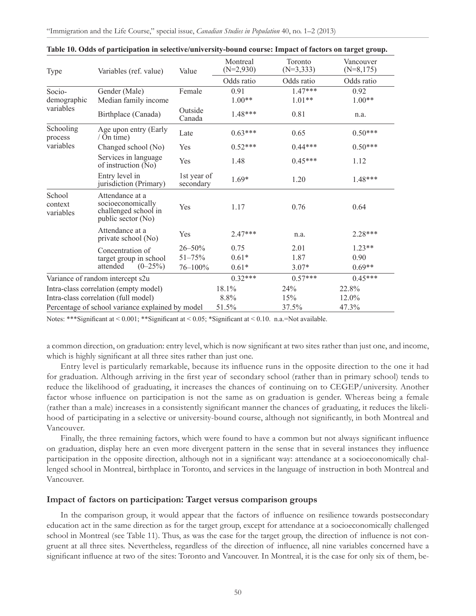| Type                                             | Variables (ref. value)                                                             | Value                    | Montreal<br>$(N=2,930)$ | Toronto<br>$(N=3,333)$ | Vancouver<br>$(N=8,175)$ |
|--------------------------------------------------|------------------------------------------------------------------------------------|--------------------------|-------------------------|------------------------|--------------------------|
|                                                  |                                                                                    |                          | Odds ratio              | Odds ratio             | Odds ratio               |
| Socio-                                           | Gender (Male)                                                                      | Female                   | 0.91                    | $1.47***$              | 0.92                     |
| demographic<br>variables                         | Median family income                                                               |                          | $1.00**$                | $1.01**$               | $1.00**$                 |
|                                                  | Birthplace (Canada)                                                                | Outside<br>Canada        | $1.48***$               | 0.81                   | n.a.                     |
| Schooling<br>process                             | Age upon entry (Early<br>$/ \text{On time}$                                        | Late                     | $0.63***$               | 0.65                   | $0.50***$                |
| variables                                        | Changed school (No)                                                                | Yes                      | $0.52***$               | $0.44***$              | $0.50***$                |
|                                                  | Services in language<br>of instruction (No)                                        | Yes                      | 1.48                    | $0.45***$              | 1.12                     |
|                                                  | Entry level in<br>jurisdiction (Primary)                                           | 1st year of<br>secondary | $1.69*$                 | 1.20                   | $1.48***$                |
| School<br>context<br>variables                   | Attendance at a<br>socioeconomically<br>challenged school in<br>public sector (No) | Yes                      | 1.17                    | 0.76                   | 0.64                     |
|                                                  | Attendance at a<br>private school (No)                                             | Yes                      | $2.47***$               | n.a.                   | 2.28***                  |
|                                                  | Concentration of                                                                   | $26 - 50%$               | 0.75                    | 2.01                   | $1.23**$                 |
|                                                  | target group in school                                                             | $51 - 75%$               | $0.61*$                 | 1.87                   | 0.90                     |
|                                                  | attended<br>$(0-25%)$                                                              | $76 - 100\%$             | $0.61*$                 | $3.07*$                | $0.69**$                 |
| Variance of random intercept s2u                 |                                                                                    |                          | $0.32***$               | $0.57***$              | $0.45***$                |
| Intra-class correlation (empty model)            |                                                                                    |                          | 18.1%                   | 24%                    | 22.8%                    |
| Intra-class correlation (full model)             |                                                                                    |                          | 8.8%                    | 15%                    | 12.0%                    |
| Percentage of school variance explained by model |                                                                                    |                          | 51.5%                   | 37.5%                  | 47.3%                    |

| Table 10. Odds of participation in selective/university-bound course: Impact of factors on target group. |  |  |  |
|----------------------------------------------------------------------------------------------------------|--|--|--|
|                                                                                                          |  |  |  |

Notes: \*\*\*Significant at < 0.001; \*\*Significant at < 0.05; \*Significant at < 0.10. n.a.=Not available.

a common direction, on graduation: entry level, which is now significant at two sites rather than just one, and income, which is highly significant at all three sites rather than just one.

Entry level is particularly remarkable, because its influence runs in the opposite direction to the one it had for graduation. Although arriving in the first year of secondary school (rather than in primary school) tends to reduce the likelihood of graduating, it increases the chances of continuing on to CEGEP/university. Another factor whose influence on participation is not the same as on graduation is gender. Whereas being a female (rather than a male) increases in a consistently significant manner the chances of graduating, it reduces the likelihood of participating in a selective or university-bound course, although not significantly, in both Montreal and Vancouver.

Finally, the three remaining factors, which were found to have a common but not always significant influence on graduation, display here an even more divergent pattern in the sense that in several instances they influence participation in the opposite direction, although not in a significant way: attendance at a socioeconomically challenged school in Montreal, birthplace in Toronto, and services in the language of instruction in both Montreal and Vancouver.

#### **Impact of factors on participation: Target versus comparison groups**

In the comparison group, it would appear that the factors of influence on resilience towards postsecondary education act in the same direction as for the target group, except for attendance at a socioeconomically challenged school in Montreal (see Table 11). Thus, as was the case for the target group, the direction of influence is not congruent at all three sites. Nevertheless, regardless of the direction of influence, all nine variables concerned have a significant influence at two of the sites: Toronto and Vancouver. In Montreal, it is the case for only six of them, be-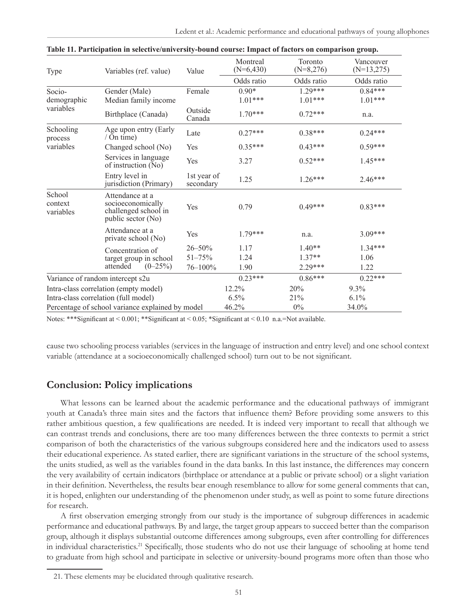| Type                                 | Variables (ref. value)                                                             | Value                    | Montreal<br>$(N=6, 430)$ | Toronto<br>$(N=8,276)$ | Vancouver<br>$(N=13,275)$ |
|--------------------------------------|------------------------------------------------------------------------------------|--------------------------|--------------------------|------------------------|---------------------------|
|                                      |                                                                                    |                          | Odds ratio               | Odds ratio             | Odds ratio                |
| Socio-                               | Gender (Male)                                                                      | Female                   | $0.90*$                  | $1.29***$              | $0.84***$                 |
| demographic<br>variables             | Median family income                                                               |                          | $1.01***$                | $1.01***$              | $1.01***$                 |
|                                      | Birthplace (Canada)                                                                | Outside<br>Canada        | $1.70***$                | $0.72***$              | n.a.                      |
| Schooling<br>process                 | Age upon entry (Early<br>/ On time)                                                | Late                     | $0.27***$                | $0.38***$              | $0.24***$                 |
| variables                            | Changed school (No)                                                                | Yes                      | $0.35***$                | $0.43***$              | $0.59***$                 |
|                                      | Services in language<br>of instruction (No)                                        | Yes                      | 3.27                     | $0.52***$              | $1.45***$                 |
|                                      | Entry level in<br>jurisdiction (Primary)                                           | 1st year of<br>secondary | 1.25                     | $1.26***$              | $2.46***$                 |
| School<br>context<br>variables       | Attendance at a<br>socioeconomically<br>challenged school in<br>public sector (No) | Yes                      | 0.79                     | $0.49***$              | $0.83***$                 |
|                                      | Attendance at a<br>private school (No)                                             | Yes                      | $1.79***$                | n.a.                   | 3.09***                   |
|                                      | Concentration of<br>target group in school<br>attended<br>$(0-25%)$                | $26 - 50%$               | 1.17                     | $1.40**$               | $1.34***$                 |
|                                      |                                                                                    | $51 - 75%$               | 1.24                     | $1.37**$               | 1.06                      |
|                                      |                                                                                    | 76-100%                  | 1.90                     | $2.29***$              | 1.22                      |
| Variance of random intercept s2u     |                                                                                    |                          | $0.23***$                | $0.86***$              | $0.22***$                 |
|                                      | Intra-class correlation (empty model)                                              |                          | 12.2%                    | 20%                    | 9.3%                      |
| Intra-class correlation (full model) |                                                                                    |                          | 6.5%                     | 21%                    | 6.1%                      |
|                                      | Percentage of school variance explained by model                                   |                          | 46.2%                    | $0\%$                  | 34.0%                     |

| Table 11. Participation in selective/university-bound course: Impact of factors on comparison group. |  |
|------------------------------------------------------------------------------------------------------|--|
|                                                                                                      |  |

Notes: \*\*\*Significant at < 0.001; \*\*Significant at < 0.05; \*Significant at < 0.10 n.a.=Not available.

cause two schooling process variables (services in the language of instruction and entry level) and one school context variable (attendance at a socioeconomically challenged school) turn out to be not significant.

# **Conclusion: Policy implications**

What lessons can be learned about the academic performance and the educational pathways of immigrant youth at Canada's three main sites and the factors that influence them? Before providing some answers to this rather ambitious question, a few qualifications are needed. It is indeed very important to recall that although we can contrast trends and conclusions, there are too many differences between the three contexts to permit a strict comparison of both the characteristics of the various subgroups considered here and the indicators used to assess their educational experience. As stated earlier, there are significant variations in the structure of the school systems, the units studied, as well as the variables found in the data banks. In this last instance, the differences may concern the very availability of certain indicators (birthplace or attendance at a public or private school) or a slight variation in their definition. Nevertheless, the results bear enough resemblance to allow for some general comments that can, it is hoped, enlighten our understanding of the phenomenon under study, as well as point to some future directions for research.

A first observation emerging strongly from our study is the importance of subgroup differences in academic performance and educational pathways. By and large, the target group appears to succeed better than the comparison group, although it displays substantial outcome differences among subgroups, even after controlling for differences in individual characteristics.<sup>21</sup> Specifically, those students who do not use their language of schooling at home tend to graduate from high school and participate in selective or university-bound programs more often than those who

<sup>21.</sup> These elements may be elucidated through qualitative research.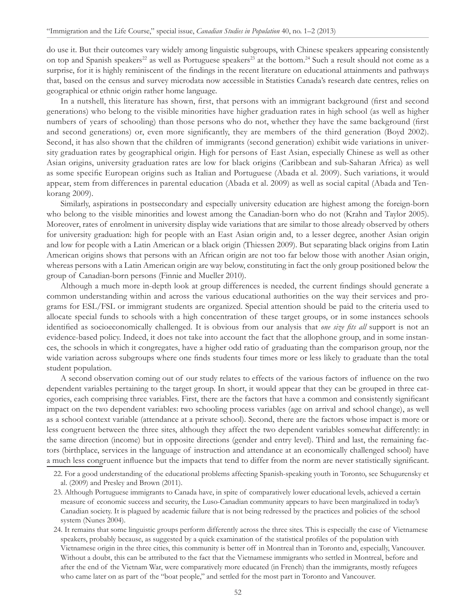do use it. But their outcomes vary widely among linguistic subgroups, with Chinese speakers appearing consistently on top and Spanish speakers<sup>22</sup> as well as Portuguese speakers<sup>23</sup> at the bottom.<sup>24</sup> Such a result should not come as a surprise, for it is highly reminiscent of the findings in the recent literature on educational attainments and pathways that, based on the census and survey microdata now accessible in Statistics Canada's research date centres, relies on geographical or ethnic origin rather home language.

In a nutshell, this literature has shown, first, that persons with an immigrant background (first and second generations) who belong to the visible minorities have higher graduation rates in high school (as well as higher numbers of years of schooling) than those persons who do not, whether they have the same background (first and second generations) or, even more significantly, they are members of the third generation (Boyd 2002). Second, it has also shown that the children of immigrants (second generation) exhibit wide variations in university graduation rates by geographical origin. High for persons of East Asian, especially Chinese as well as other Asian origins, university graduation rates are low for black origins (Caribbean and sub-Saharan Africa) as well as some specific European origins such as Italian and Portuguese (Abada et al. 2009). Such variations, it would appear, stem from differences in parental education (Abada et al. 2009) as well as social capital (Abada and Tenkorang 2009).

Similarly, aspirations in postsecondary and especially university education are highest among the foreign-born who belong to the visible minorities and lowest among the Canadian-born who do not (Krahn and Taylor 2005). Moreover, rates of enrolment in university display wide variations that are similar to those already observed by others for university graduation: high for people with an East Asian origin and, to a lesser degree, another Asian origin and low for people with a Latin American or a black origin (Thiessen 2009). But separating black origins from Latin American origins shows that persons with an African origin are not too far below those with another Asian origin, whereas persons with a Latin American origin are way below, constituting in fact the only group positioned below the group of Canadian-born persons (Finnie and Mueller 2010).

Although a much more in-depth look at group differences is needed, the current findings should generate a common understanding within and across the various educational authorities on the way their services and programs for ESL/FSL or immigrant students are organized. Special attention should be paid to the criteria used to allocate special funds to schools with a high concentration of these target groups, or in some instances schools identified as socioeconomically challenged. It is obvious from our analysis that *one size fits all* support is not an evidence-based policy. Indeed, it does not take into account the fact that the allophone group, and in some instances, the schools in which it congregates, have a higher odd ratio of graduating than the comparison group, nor the wide variation across subgroups where one finds students four times more or less likely to graduate than the total student population.

A second observation coming out of our study relates to effects of the various factors of influence on the two dependent variables pertaining to the target group. In short, it would appear that they can be grouped in three categories, each comprising three variables. First, there are the factors that have a common and consistently significant impact on the two dependent variables: two schooling process variables (age on arrival and school change), as well as a school context variable (attendance at a private school). Second, there are the factors whose impact is more or less congruent between the three sites, although they affect the two dependent variables somewhat differently: in the same direction (income) but in opposite directions (gender and entry level). Third and last, the remaining factors (birthplace, services in the language of instruction and attendance at an economically challenged school) have a much less congruent influence but the impacts that tend to differ from the norm are never statistically significant.

<sup>22.</sup> For a good understanding of the educational problems affecting Spanish-speaking youth in Toronto, see Schugurensky et al. (2009) and Presley and Brown (2011).

<sup>23.</sup> Although Portuguese immigrants to Canada have, in spite of comparatively lower educational levels, achieved a certain measure of economic success and security, the Luso-Canadian community appears to have been marginalized in today's Canadian society. It is plagued by academic failure that is not being redressed by the practices and policies of the school system (Nunes 2004).

<sup>24.</sup> It remains that some linguistic groups perform differently across the three sites. This is especially the case of Vietnamese speakers, probably because, as suggested by a quick examination of the statistical profiles of the population with Vietnamese origin in the three cities, this community is better off in Montreal than in Toronto and, especially, Vancouver. Without a doubt, this can be attributed to the fact that the Vietnamese immigrants who settled in Montreal, before and after the end of the Vietnam War, were comparatively more educated (in French) than the immigrants, mostly refugees who came later on as part of the "boat people," and settled for the most part in Toronto and Vancouver.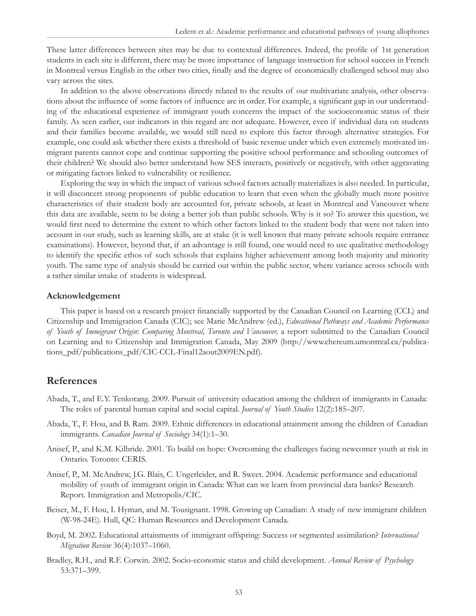These latter differences between sites may be due to contextual differences. Indeed, the profile of 1st generation students in each site is different, there may be more importance of language instruction for school success in French in Montreal versus English in the other two cities, finally and the degree of economically challenged school may also vary across the sites.

In addition to the above observations directly related to the results of our multivariate analysis, other observations about the influence of some factors of influence are in order. For example, a significant gap in our understanding of the educational experience of immigrant youth concerns the impact of the socioeconomic status of their family. As seen earlier, our indicators in this regard are not adequate. However, even if individual data on students and their families become available, we would still need to explore this factor through alternative strategies. For example, one could ask whether there exists a threshold of basic revenue under which even extremely motivated immigrant parents cannot cope and continue supporting the positive school performance and schooling outcomes of their children? We should also better understand how SES interacts, positively or negatively, with other aggravating or mitigating factors linked to vulnerability or resilience.

Exploring the way in which the impact of various school factors actually materializes is also needed. In particular, it will disconcert strong proponents of public education to learn that even when the globally much more positive characteristics of their student body are accounted for, private schools, at least in Montreal and Vancouver where this data are available, seem to be doing a better job than public schools. Why is it so? To answer this question, we would first need to determine the extent to which other factors linked to the student body that were not taken into account in our study, such as learning skills, are at stake (it is well known that many private schools require entrance examinations). However, beyond that, if an advantage is still found, one would need to use qualitative methodology to identify the specific ethos of such schools that explains higher achievement among both majority and minority youth. The same type of analysis should be carried out within the public sector, where variance across schools with a rather similar intake of students is widespread.

#### **Acknowledgement**

This paper is based on a research project financially supported by the Canadian Council on Learning (CCL) and Citizenship and Immigration Canada (CIC); see Marie McAndrew (ed.), *Educational Pathways and Academic Performance of Youth of Immigrant Origin*: *Comparing Montreal, Toronto and Vancouver,* a report submitted to the Canadian Council on Learning and to Citizenship and Immigration Canada, May 2009 [\(http://www.chereum.umontreal.ca/publica](http://www.chereum.umontreal.ca/publications_pdf/publications_pdf/CIC-CCL-Final12aout2009EN.pdf)[tions\\_pdf/publications\\_pdf/CIC-CCL-Final12aout2009EN.pdf](http://www.chereum.umontreal.ca/publications_pdf/publications_pdf/CIC-CCL-Final12aout2009EN.pdf)).

## **References**

- Abada, T., and E.Y. Tenkorang. 2009. Pursuit of university education among the children of immigrants in Canada: The roles of parental human capital and social capital. *Journal of Youth Studies* 12(2):185–207.
- Abada, T., F. Hou, and B. Ram. 2009. Ethnic differences in educational attainment among the children of Canadian immigrants. *Canadian Journal of Sociology* 34(1):1–30.
- Anisef, P., and K.M. Kilbride. 2001. To build on hope: Overcoming the challenges facing newcomer youth at risk in Ontario. Toronto: CERIS.
- Anisef, P., M. McAndrew, J.G. Blais, C. Ungerleider, and R. Sweet. 2004. Academic performance and educational mobility of youth of immigrant origin in Canada: What can we learn from provincial data banks? Research Report. Immigration and Metropolis/CIC.
- Beiser, M., F. Hou, I. Hyman, and M. Tousignant. 1998. Growing up Canadian: A study of new immigrant children (W-98-24E). Hull, QC: Human Resources and Development Canada.
- Boyd, M. 2002. Educational attainments of immigrant offspring: Success or segmented assimilation? *International Migration Review* 36(4):1037–1060.
- Bradley, R.H., and R.F. Corwin. 2002. Socio-economic status and child development*. Annual Review of Psychology* 53:371–399.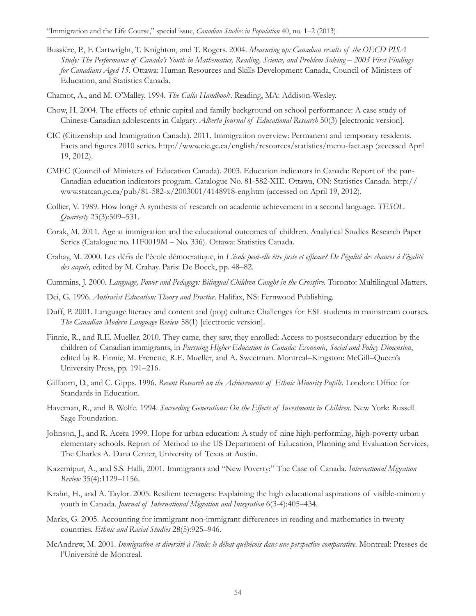- Bussière, P., F. Cartwright, T. Knighton, and T. Rogers. 2004. *Measuring up: Canadian results of the OECD PISA Study: The Performance of Canada's Youth in Mathematics, Reading, Science, and Problem Solving – 2003 First Findings for Canadians Aged 15.* Ottawa: Human Resources and Skills Development Canada, Council of Ministers of Education, and Statistics Canada.
- Chamot, A., and M. O'Malley. 1994. *The Calla Handbook*. Reading, MA: Addison-Wesley.
- Chow, H. 2004. The effects of ethnic capital and family background on school performance: A case study of Chinese-Canadian adolescents in Calgary. *Alberta Journal of Educational Research* 50(3) [electronic version].
- CIC (Citizenship and Immigration Canada). 2011. Immigration overview: Permanent and temporary residents. Facts and figures 2010 series. <http://www.cic.gc.ca/english/resources/statistics/menu-fact.asp> (accessed April 19, 2012).
- CMEC (Council of Ministers of Education Canada). 2003*.* Education indicators in Canada: Report of the pan-Canadian education indicators program. Catalogue No. 81-582-XIE. Ottawa, ON: Statistics Canada. [http://](http://www.statcan.gc.ca/pub/81-582-x/2003001/4148918-eng.htm) [www.statcan.gc.ca/pub/81-582-x/2003001/4148918-eng.htm](http://www.statcan.gc.ca/pub/81-582-x/2003001/4148918-eng.htm) (accessed on April 19, 2012).
- Collier, V. 1989. How long? A synthesis of research on academic achievement in a second language. *TESOL Quarterly* 23(3):509–531.
- Corak, M. 2011. Age at immigration and the educational outcomes of children. Analytical Studies Research Paper Series (Catalogue no. 11F0019M – No. 336). Ottawa: Statistics Canada.
- Crahay, M. 2000. Les défis de l'école démocratique, in *L'école peut-elle être juste et efficace? De l'égalité des chances à l'égalité des acquis,* edited by M. Crahay. Paris: De Boeck, pp. 48–82.
- Cummins, J. 2000*. Language, Power and Pedagogy: Bilingual Children Caught in the Crossfire*. Toronto: Multilingual Matters.
- Dei, G. 1996. *Antiracist Education: Theory and Practice*. Halifax, NS: Fernwood Publishing.
- Duff, P. 2001. Language literacy and content and (pop) culture: Challenges for ESL students in mainstream courses. *The Canadian Modern Language Review* 58(1) [electronic version].
- Finnie, R., and R.E. Mueller. 2010. They came, they saw, they enrolled: Access to postsecondary education by the children of Canadian immigrants, in *Pursuing Higher Education in Canada: Economic, Social and Policy Dimension*, edited by R. Finnie, M. Frenette, R.E. Mueller, and A. Sweetman. Montreal–Kingston: McGill–Queen's University Press, pp. 191–216.
- Gillborn, D., and C. Gipps. 1996. *Recent Research on the Achievements of Ethnic Minority Pupils*. London: Office for Standards in Education.
- Haveman, R., and B. Wolfe. 1994. *Succeeding Generations: On the Effects of Investments in Children*. New York: Russell Sage Foundation.
- Johnson, J., and R. Acera 1999. Hope for urban education: A study of nine high-performing, high-poverty urban elementary schools. Report of Method to the US Department of Education, Planning and Evaluation Services, The Charles A. Dana Center, University of Texas at Austin.
- Kazemipur, A., and S.S. Halli, 2001. Immigrants and "New Poverty:" The Case of Canada. *International Migration Review* 35(4):1129–1156.
- Krahn, H., and A. Taylor. 2005. Resilient teenagers: Explaining the high educational aspirations of visible-minority youth in Canada. *Journal of International Migration and Integration* 6(3-4):405–434.
- Marks, G. 2005. Accounting for immigrant non-immigrant differences in reading and mathematics in twenty countries. *Ethnic and Racial Studies* 28(5):925–946.
- McAndrew, M. 2001. *Immigration et diversité à l'école: le débat québécois dans une perspective comparative.* Montreal: Presses de l'Université de Montreal.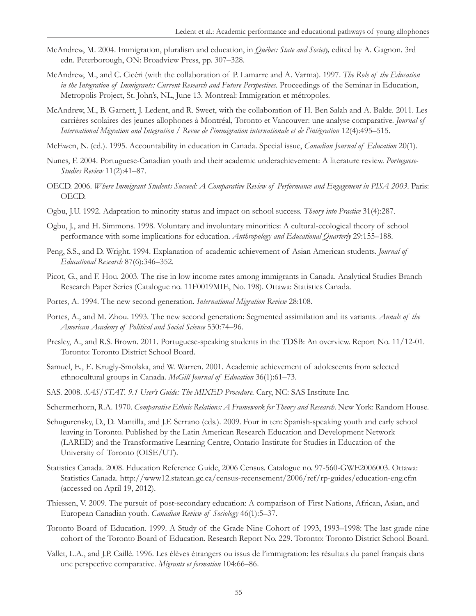- McAndrew, M. 2004. Immigration, pluralism and education, in *Québec: State and Society,* edited by A. Gagnon. 3rd edn. Peterborough, ON: Broadview Press, pp. 307–328.
- McAndrew, M., and C. Cicéri (with the collaboration of P. Lamarre and A. Varma). 1997. *The Role of the Education in the Integration of Immigrants: Current Research and Future Perspectives.* Proceedings of the Seminar in Education, Metropolis Project, St. John's, NL, June 13. Montreal: Immigration et métropoles.
- McAndrew, M., B. Garnett, J. Ledent, and R. Sweet, with the collaboration of H. Ben Salah and A. Balde. 2011. Les carrières scolaires des jeunes allophones à Montréal, Toronto et Vancouver: une analyse comparative. *Journal of International Migration and Integration / Revue de l'immigration internationale et de l'intégration* 12(4):495–515.
- McEwen, N. (ed.). 1995. Accountability in education in Canada. Special issue, *Canadian Journal of Education* 20(1).
- Nunes, F. 2004. Portuguese-Canadian youth and their academic underachievement: A literature review. *Portuguese-Studies Review* 11(2):41–87.
- OECD. 2006. *Where Immigrant Students Succeed: A Comparative Review of Performance and Engagement in PISA 2003*. Paris: OECD.
- Ogbu, J.U. 1992. Adaptation to minority status and impact on school success. *Theory into Practice* 31(4):287.
- Ogbu, J., and H. Simmons. 1998. Voluntary and involuntary minorities: A cultural-ecological theory of school performance with some implications for education. *Anthropology and Educational Quarterly* 29:155–188.
- Peng, S.S., and D. Wright. 1994. Explanation of academic achievement of Asian American students. *Journal of Educational Research* 87(6):346–352.
- Picot, G., and F. Hou. 2003. The rise in low income rates among immigrants in Canada. Analytical Studies Branch Research Paper Series (Catalogue no. 11F0019MIE, No. 198). Ottawa: Statistics Canada.
- Portes, A. 1994. The new second generation. *International Migration Review* 28:108.
- Portes, A., and M. Zhou. 1993. The new second generation: Segmented assimilation and its variants. *Annals of the American Academy of Political and Social Science* 530:74–96.
- Presley, A., and R.S. Brown. 2011. Portuguese-speaking students in the TDSB: An overview. Report No. 11/12-01. Toronto: Toronto District School Board.
- Samuel, E., E. Krugly-Smolska, and W. Warren. 2001. Academic achievement of adolescents from selected ethnocultural groups in Canada. *McGill Journal of Education* 36(1):61–73.
- SAS. 2008. *SAS/STAT. 9.1 User's Guide: The MIXED Procedure.* Cary, NC: SAS Institute Inc.
- Schermerhorn, R.A. 1970. *Comparative Ethnic Relations: A Framework for Theory and Research*. New York: Random House.
- Schugurensky, D., D. Mantilla, and J.F. Serrano (eds.). 2009. Four in ten: Spanish-speaking youth and early school leaving in Toronto. Published by the Latin American Research Education and Development Network (LARED) and the Transformative Learning Centre, Ontario Institute for Studies in Education of the University of Toronto (OISE/UT).
- Statistics Canada. 2008. Education Reference Guide, 2006 Census. Catalogue no. 97-560-GWE2006003. Ottawa: Statistics Canada.<http://www12.statcan.gc.ca/census-recensement/2006/ref/rp-guides/education-eng.cfm> (accessed on April 19, 2012).
- Thiessen, V. 2009. The pursuit of post-secondary education: A comparison of First Nations, African, Asian, and European Canadian youth. *Canadian Review of Sociology* 46(1):5–37.
- Toronto Board of Education. 1999. A Study of the Grade Nine Cohort of 1993, 1993–1998: The last grade nine cohort of the Toronto Board of Education. Research Report No. 229. Toronto: Toronto District School Board.
- Vallet, L.A., and J.P. Caillé. 1996. Les élèves étrangers ou issus de l'immigration: les résultats du panel français dans une perspective comparative. *Migrants et formation* 104:66–86.